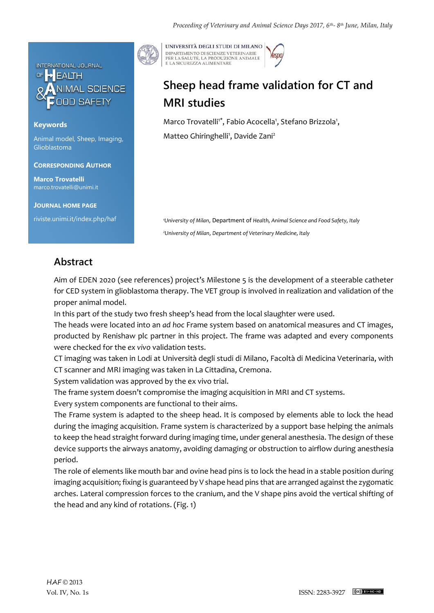

## **Keywords**

Animal model, Sheep, Imaging, Glioblastoma

### **CORRESPONDING AUTHOR**

**Marco Trovatelli** marco.trovatelli@unimi.it

**JOURNAL HOME PAGE**

riviste.unimi.it/index.php/haf

UNIVERSITÀ DEGLI STUDI DI MILANO DIPARTIMENTO DI SCIENZE VETERINARIE PER LA SALUTE, LA PRODUZIONE ANIMALE<br>E LA SICUREZZA ALIMENTARE

# **Sheep head frame validation for CT and MRI studies**

Marco Trovatelli<sup>1\*</sup>, Fabio Acocella<sup>1</sup>, Stefano Brizzola<sup>1</sup>, Matteo Ghiringhelli<sup>1</sup>, Davide Zani<sup>2</sup>

*<sup>1</sup>University of Milan*, Department of *Health, Animal Science and Food Safety, Italy <sup>2</sup>University of Milan*, *Department of Veterinary Medicine, Italy* 

## **Abstract**

Aim of EDEN 2020 (see references) project's Milestone 5 is the development of a steerable catheter for CED system in glioblastoma therapy. The VET group is involved in realization and validation of the proper animal model.

In this part of the study two fresh sheep's head from the local slaughter were used.

The heads were located into an *ad hoc* Frame system based on anatomical measures and CT images, producted by Renishaw plc partner in this project. The frame was adapted and every components were checked for the *ex vivo* validation tests.

CT imaging was taken in Lodi at Università degli studi di Milano, Facoltà di Medicina Veterinaria, with CT scanner and MRI imaging was taken in La Cittadina, Cremona.

System validation was approved by the ex vivo trial.

The frame system doesn't compromise the imaging acquisition in MRI and CT systems.

Every system components are functional to their aims.

The Frame system is adapted to the sheep head. It is composed by elements able to lock the head during the imaging acquisition. Frame system is characterized by a support base helping the animals to keep the head straight forward during imaging time, under general anesthesia. The design of these device supports the airways anatomy, avoiding damaging or obstruction to airflow during anesthesia period.

The role of elements like mouth bar and ovine head pins is to lock the head in a stable position during imaging acquisition; fixing is guaranteed by V shape head pins that are arranged against the zygomatic arches. Lateral compression forces to the cranium, and the V shape pins avoid the vertical shifting of the head and any kind of rotations. (Fig. 1)